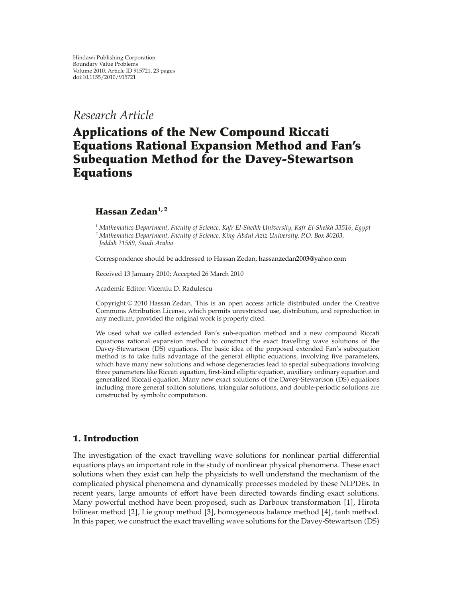# *Research Article*

# **Applications of the New Compound Riccati Equations Rational Expansion Method and Fan's Subequation Method for the Davey-Stewartson Equations**

## **Hassan Zedan1, 2**

*<sup>1</sup> Mathematics Department, Faculty of Science, Kafr El-Sheikh University, Kafr El-Sheikh 33516, Egypt <sup>2</sup> Mathematics Department, Faculty of Science, King Abdul Aziz University, P.O. Box 80203, Jeddah 21589, Saudi Arabia*

Correspondence should be addressed to Hassan Zedan, hassanzedan2003@yahoo.com

Received 13 January 2010; Accepted 26 March 2010

Academic Editor: Vicentiu D. Radulescu

Copyright © 2010 Hassan Zedan. This is an open access article distributed under the Creative Commons Attribution License, which permits unrestricted use, distribution, and reproduction in any medium, provided the original work is properly cited.

We used what we called extended Fan's sub-equation method and a new compound Riccati equations rational expansion method to construct the exact travelling wave solutions of the Davey-Stewartson (DS) equations. The basic idea of the proposed extended Fan's subequation method is to take fulls advantage of the general elliptic equations, involving five parameters, which have many new solutions and whose degeneracies lead to special subequations involving three parameters like Riccati equation, first-kind elliptic equation, auxiliary ordinary equation and generalized Riccati equation. Many new exact solutions of the Davey-Stewartson (DS) equations including more general soliton solutions, triangular solutions, and double-periodic solutions are constructed by symbolic computation.

## **1. Introduction**

The investigation of the exact travelling wave solutions for nonlinear partial differential equations plays an important role in the study of nonlinear physical phenomena. These exact solutions when they exist can help the physicists to well understand the mechanism of the complicated physical phenomena and dynamically processes modeled by these NLPDEs. In recent years, large amounts of effort have been directed towards finding exact solutions. Many powerful method have been proposed, such as Darboux transformation [1], Hirota bilinear method  $[2]$ , Lie group method  $[3]$ , homogeneous balance method  $[4]$ , tanh method. In this paper, we construct the exact travelling wave solutions for the Davey-Stewartson (DS)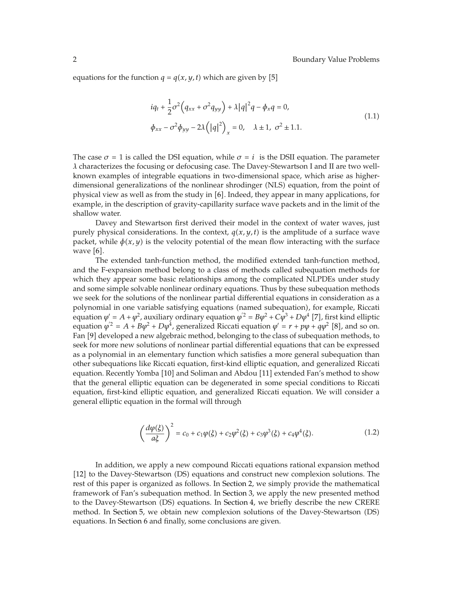equations for the function  $q = q(x, y, t)$  which are given by [5]

$$
iq_t + \frac{1}{2}\sigma^2 (q_{xx} + \sigma^2 q_{yy}) + \lambda |q|^2 q - \phi_x q = 0,
$$
  
\n
$$
\phi_{xx} - \sigma^2 \phi_{yy} - 2\lambda (|q|^2)_x = 0, \quad \lambda \pm 1, \quad \sigma^2 \pm 1.1.
$$
\n(1.1)

The case  $\sigma = 1$  is called the DSI equation, while  $\sigma = i$  is the DSII equation. The parameter *λ* characterizes the focusing or defocusing case. The Davey-Stewartson I and II are two wellknown examples of integrable equations in two-dimensional space, which arise as higherdimensional generalizations of the nonlinear shrodinger (NLS) equation, from the point of physical view as well as from the study in [6]. Indeed, they appear in many applications, for example, in the description of gravity-capillarity surface wave packets and in the limit of the shallow water.

Davey and Stewartson first derived their model in the context of water waves, just purely physical considerations. In the context,  $q(x, y, t)$  is the amplitude of a surface wave packet, while  $\phi(x, y)$  is the velocity potential of the mean flow interacting with the surface wave  $[6]$ .

The extended tanh-function method, the modified extended tanh-function method, and the F-expansion method belong to a class of methods called subequation methods for which they appear some basic relationships among the complicated NLPDEs under study and some simple solvable nonlinear ordinary equations. Thus by these subequation methods we seek for the solutions of the nonlinear partial differential equations in consideration as a polynomial in one variable satisfying equations (named subequation), for example, Riccati equation  $\varphi' = A + \varphi^2$ , auxiliary ordinary equation  $\varphi'^2 = B\varphi^2 + C\varphi^3 + D\varphi^4$  [7], first kind elliptic equation  $\varphi^2 = A + B\varphi^2 + D\varphi^4$ , generalized Riccati equation  $\varphi' = r + p\varphi + q\varphi^2$  [8], and so on. Fan [9] developed a new algebraic method, belonging to the class of subequation methods, to seek for more new solutions of nonlinear partial differential equations that can be expressed as a polynomial in an elementary function which satisfies a more general subequation than other subequations like Riccati equation, first-kind elliptic equation, and generalized Riccati equation. Recently Yomba [10] and Soliman and Abdou [11] extended Fan's method to show that the general elliptic equation can be degenerated in some special conditions to Riccati equation, first-kind elliptic equation, and generalized Riccati equation. We will consider a general elliptic equation in the formal will through

$$
\left(\frac{d\varphi(\xi)}{a\xi}\right)^2 = c_0 + c_1\varphi(\xi) + c_2\varphi^2(\xi) + c_3\varphi^3(\xi) + c_4\varphi^4(\xi). \tag{1.2}
$$

In addition, we apply a new compound Riccati equations rational expansion method [12] to the Davey-Stewartson (DS) equations and construct new complexion solutions. The rest of this paper is organized as follows. In Section 2, we simply provide the mathematical framework of Fan's subequation method. In Section 3, we apply the new presented method to the Davey-Stewartson (DS) equations. In Section 4, we briefly describe the new CRERE method. In Section 5, we obtain new complexion solutions of the Davey-Stewartson (DS) equations. In Section 6 and finally, some conclusions are given.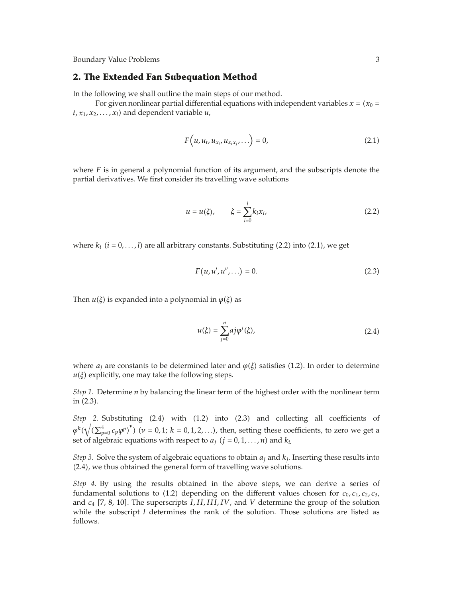#### **2. The Extended Fan Subequation Method**

In the following we shall outline the main steps of our method.

For given nonlinear partial differential equations with independent variables  $x$  = ( $x_0$  =  $t, x_1, x_2, \ldots, x_l$  and dependent variable  $u$ ,

$$
F\left(u, u_t, u_{x_i}, u_{x_ix_j}, \ldots\right) = 0, \tag{2.1}
$$

where  $F$  is in general a polynomial function of its argument, and the subscripts denote the partial derivatives. We first consider its travelling wave solutions

$$
u = u(\xi), \qquad \xi = \sum_{i=0}^{l} k_i x_i,
$$
 (2.2)

where  $k_i$   $(i = 0, \ldots, l)$  are all arbitrary constants. Substituting  $(2.2)$  into  $(2.1)$ , we get

$$
F(u, u', u'', \ldots) = 0.
$$
 (2.3)

Then  $u(\xi)$  is expanded into a polynomial in  $\varphi(\xi)$  as

$$
u(\xi) = \sum_{j=0}^{n} a_j \varphi^j(\xi),
$$
\n(2.4)

where  $a_j$  are constants to be determined later and  $\varphi(\xi)$  satisfies (1.2). In order to determine  $u(\xi)$  explicitly, one may take the following steps.

*Step 1.* Determine *n* by balancing the linear term of the highest order with the nonlinear term in (2.3).

*Step* 2. Substituting (2.4) with (1.2) into (2.3) and collecting all coefficients of  $\varphi^k(\sqrt{(\sum_{p=0}^4 c_p \varphi^p)}^{\nu})$   $(\nu = 0, 1; k = 0, 1, 2, \ldots)$ , then, setting these coefficients, to zero we get a set of algebraic equations with respect to  $a_j$   $(j = 0, 1, \ldots, n)$  and  $k_i$ .

*Step 3.* Solve the system of algebraic equations to obtain  $a_i$  and  $k_j$ . Inserting these results into (2.4), we thus obtained the general form of travelling wave solutions.

*Step 4.* By using the results obtained in the above steps, we can derive a series of fundamental solutions to  $(1.2)$  depending on the different values chosen for  $c_0$ ,  $c_1$ ,  $c_2$ ,  $c_3$ , and  $c_4$  [7, 8, 10]. The superscripts *I, II, III, IV*, and *V* determine the group of the solution while the subscript *l* determines the rank of the solution. Those solutions are listed as follows.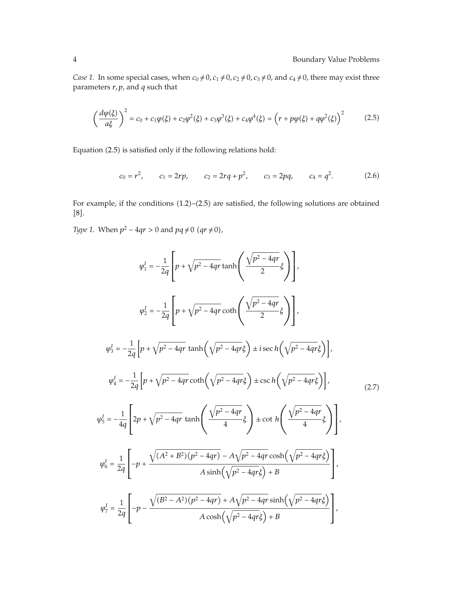*Case 1.* In some special cases, when  $c_0 \neq 0$ ,  $c_1 \neq 0$ ,  $c_2 \neq 0$ ,  $c_3 \neq 0$ , and  $c_4 \neq 0$ , there may exist three parameters *r, p*, and *q* such that

$$
\left(\frac{d\varphi(\xi)}{a\xi}\right)^2 = c_0 + c_1\varphi(\xi) + c_2\varphi^2(\xi) + c_3\varphi^3(\xi) + c_4\varphi^4(\xi) = \left(r + p\varphi(\xi) + q\varphi^2(\xi)\right)^2\tag{2.5}
$$

Equation (2.5) is satisfied only if the following relations hold:

$$
c_0 = r^2
$$
,  $c_1 = 2rp$ ,  $c_2 = 2rq + p^2$ ,  $c_3 = 2pq$ ,  $c_4 = q^2$ . (2.6)

For example, if the conditions  $(1.2)$ – $(2.5)$  are satisfied, the following solutions are obtained  $[8]$ .

*Type 1.* When  $p^2 - 4qr > 0$  and  $pq \neq 0$   $(qr \neq 0)$ ,

$$
\varphi_{1}^{I} = -\frac{1}{2q} \left[ p + \sqrt{p^{2} - 4qr} \tanh\left(\frac{\sqrt{p^{2} - 4qr}}{2} \xi\right) \right],
$$
\n
$$
\varphi_{2}^{I} = -\frac{1}{2q} \left[ p + \sqrt{p^{2} - 4qr} \coth\left(\frac{\sqrt{p^{2} - 4qr}}{2} \xi\right) \right],
$$
\n
$$
\varphi_{3}^{I} = -\frac{1}{2q} \left[ p + \sqrt{p^{2} - 4qr} \tanh\left(\sqrt{p^{2} - 4qr} \xi\right) \pm i \sec h\left(\sqrt{p^{2} - 4qr} \xi\right) \right],
$$
\n
$$
\varphi_{4}^{I} = -\frac{1}{2q} \left[ p + \sqrt{p^{2} - 4qr} \coth\left(\sqrt{p^{2} - 4qr} \xi\right) \pm \csc h\left(\sqrt{p^{2} - 4qr} \xi\right) \right],
$$
\n
$$
\varphi_{5}^{I} = -\frac{1}{4q} \left[ 2p + \sqrt{p^{2} - 4qr} \tanh\left(\frac{\sqrt{p^{2} - 4qr}}{4} \xi\right) \pm \cot h\left(\frac{\sqrt{p^{2} - 4qr}}{4} \xi\right) \right],
$$
\n
$$
\varphi_{6}^{I} = \frac{1}{2q} \left[ -p + \frac{\sqrt{(A^{2} + B^{2})(p^{2} - 4qr)} - A\sqrt{p^{2} - 4qr} \cosh\left(\sqrt{p^{2} - 4qr} \xi\right)}{A \sinh\left(\sqrt{p^{2} - 4qr} \xi\right) + B} \right],
$$
\n
$$
\varphi_{7}^{I} = \frac{1}{2q} \left[ -p - \frac{\sqrt{(B^{2} - A^{2})(p^{2} - 4qr)} + A\sqrt{p^{2} - 4qr} \sinh\left(\sqrt{p^{2} - 4qr} \xi\right)}{A \cosh\left(\sqrt{p^{2} - 4qr} \xi\right) + B} \right],
$$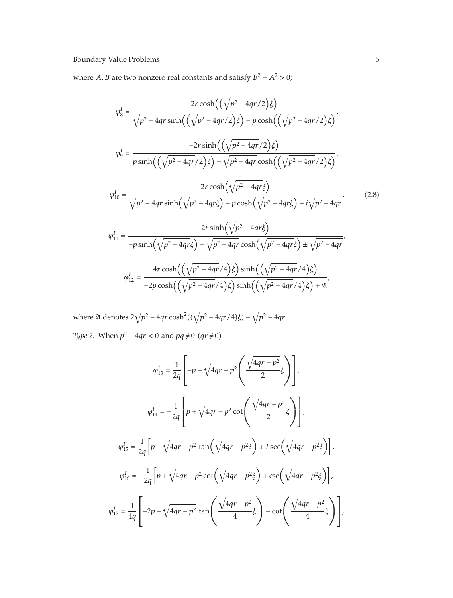where *A*, *B* are two nonzero real constants and satisfy  $B^2 - A^2 > 0$ ;

*ϕI* <sup>8</sup> 2*r* cosh-- *p*<sup>2</sup> − 4*qr/*2 *ξ <sup>p</sup>*<sup>2</sup> <sup>−</sup> <sup>4</sup>*qr* sinh-- *p*<sup>2</sup> − 4*qr/*2 *ξ* <sup>−</sup> *<sup>p</sup>* cosh-- *p*<sup>2</sup> − 4*qr/*2 *ξ , ϕI* <sup>9</sup> <sup>−</sup>2*<sup>r</sup>* sinh-- *p*<sup>2</sup> − 4*qr/*2 *ξ p* sinh-- *p*<sup>2</sup> − 4*qr/*2 *ξ* − *<sup>p</sup>*<sup>2</sup> <sup>−</sup> <sup>4</sup>*qr* cosh-- *p*<sup>2</sup> − 4*qr/*2 *ξ , ϕI* <sup>10</sup> 2*r* cosh- *<sup>p</sup>*<sup>2</sup> <sup>−</sup> <sup>4</sup>*qrξ <sup>p</sup>*<sup>2</sup> <sup>−</sup> <sup>4</sup>*qr* sinh- *<sup>p</sup>*<sup>2</sup> <sup>−</sup> <sup>4</sup>*qrξ* <sup>−</sup> *<sup>p</sup>* cosh- *<sup>p</sup>*<sup>2</sup> <sup>−</sup> <sup>4</sup>*qrξ i p*<sup>2</sup> − 4*qr , ϕI* <sup>11</sup> 2*r* sinh- *<sup>p</sup>*<sup>2</sup> <sup>−</sup> <sup>4</sup>*qrξ* <sup>−</sup>*<sup>p</sup>* sinh- *<sup>p</sup>*<sup>2</sup> <sup>−</sup> <sup>4</sup>*qrξ <sup>p</sup>*<sup>2</sup> <sup>−</sup> <sup>4</sup>*qr* cosh- *<sup>p</sup>*<sup>2</sup> <sup>−</sup> <sup>4</sup>*qrξ* ± *p*<sup>2</sup> − 4*qr , ϕI* <sup>12</sup> 4*r* cosh-- *p*<sup>2</sup> − 4*qr/*4 *ξ* sinh-- *p*<sup>2</sup> − 4*qr/*4 *ξ ,* -2.8

 $-2p\cosh\left(\left(\sqrt{p^2-4qr}/4\right)\xi\right)\sinh\left(\left(\sqrt{p^2-4qr}/4\right)\xi\right)+$  2θ

where 21 denotes  $2\sqrt{p^2-4qr}\cosh^2((\sqrt{p^2-4qr}/4)\xi)-\sqrt{p^2-4qr}.$ *Type 2.* When  $p^2 - 4qr < 0$  and  $pq \neq 0$   $(qr \neq 0)$ 

$$
\varphi_{13}^{I} = \frac{1}{2q} \left[ -p + \sqrt{4qr - p^{2}} \left( \frac{\sqrt{4qr - p^{2}}}{2} \xi \right) \right],
$$
  

$$
\varphi_{14}^{I} = -\frac{1}{2q} \left[ p + \sqrt{4qr - p^{2}} \cot \left( \frac{\sqrt{4qr - p^{2}}}{2} \xi \right) \right],
$$
  

$$
\varphi_{15}^{I} = \frac{1}{2q} \left[ p + \sqrt{4qr - p^{2}} \tan \left( \sqrt{4qr - p^{2}} \xi \right) \pm I \sec \left( \sqrt{4qr - p^{2}} \xi \right) \right],
$$
  

$$
\varphi_{16}^{I} = -\frac{1}{2q} \left[ p + \sqrt{4qr - p^{2}} \cot \left( \sqrt{4qr - p^{2}} \xi \right) \pm \csc \left( \sqrt{4qr - p^{2}} \xi \right) \right],
$$
  

$$
\varphi_{17}^{I} = \frac{1}{4q} \left[ -2p + \sqrt{4qr - p^{2}} \tan \left( \frac{\sqrt{4qr - p^{2}}}{4} \xi \right) - \cot \left( \frac{\sqrt{4qr - p^{2}}}{4} \xi \right) \right],
$$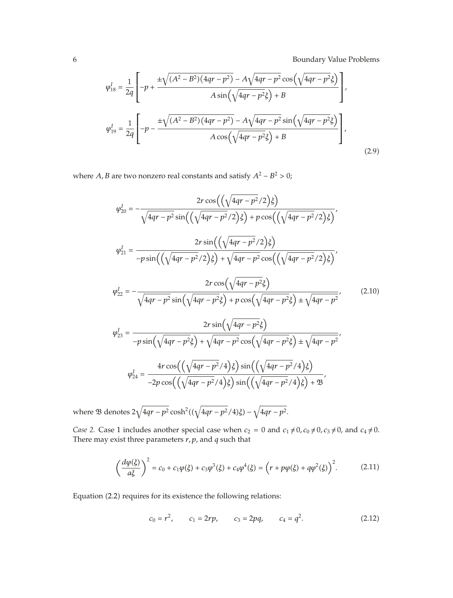$$
\varphi_{18}^{I} = \frac{1}{2q} \left[ -p + \frac{\pm \sqrt{(A^{2} - B^{2})(4qr - p^{2})} - A\sqrt{4qr - p^{2}}\cos(\sqrt{4qr - p^{2}}\xi)}{A\sin(\sqrt{4qr - p^{2}}\xi) + B} \right],
$$
  

$$
\varphi_{19}^{I} = \frac{1}{2q} \left[ -p - \frac{\pm \sqrt{(A^{2} - B^{2})(4qr - p^{2})} - A\sqrt{4qr - p^{2}}\sin(\sqrt{4qr - p^{2}}\xi)}{A\cos(\sqrt{4qr - p^{2}}\xi) + B} \right],
$$
(2.9)

where *A*, *B* are two nonzero real constants and satisfy  $A^2 - B^2 > 0$ ;

$$
\varphi_{20}^{I} = -\frac{2r \cos\left(\left(\sqrt{4qr - p^{2}}/2\right)\xi\right)}{\sqrt{4qr - p^{2}} \sin\left(\left(\sqrt{4qr - p^{2}}/2\right)\xi\right) + p \cos\left(\left(\sqrt{4qr - p^{2}}/2\right)\xi\right)},
$$
\n
$$
\varphi_{21}^{I} = \frac{2r \sin\left(\left(\sqrt{4qr - p^{2}}/2\right)\xi\right)}{-p \sin\left(\left(\sqrt{4qr - p^{2}}/2\right)\xi\right) + \sqrt{4qr - p^{2}} \cos\left(\left(\sqrt{4qr - p^{2}}/2\right)\xi\right)},
$$
\n
$$
\varphi_{22}^{I} = -\frac{2r \cos\left(\sqrt{4qr - p^{2}}\xi\right)}{\sqrt{4qr - p^{2}} \sin\left(\sqrt{4qr - p^{2}}\xi\right) + p \cos\left(\sqrt{4qr - p^{2}}\xi\right) \pm \sqrt{4qr - p^{2}}},
$$
\n
$$
\varphi_{23}^{I} = \frac{2r \sin\left(\sqrt{4qr - p^{2}}\xi\right)}{-p \sin\left(\sqrt{4qr - p^{2}}\xi\right) + \sqrt{4qr - p^{2}} \cos\left(\sqrt{4qr - p^{2}}\xi\right) \pm \sqrt{4qr - p^{2}}},
$$
\n
$$
\varphi_{24}^{I} = \frac{4r \cos\left(\left(\sqrt{4qr - p^{2}}/4\right)\xi\right) \sin\left(\left(\sqrt{4qr - p^{2}}/4\right)\xi\right)}{-2p \cos\left(\left(\sqrt{4qr - p^{2}}/4\right)\xi\right) \sin\left(\left(\sqrt{4qr - p^{2}}/4\right)\xi\right) + \mathcal{B}},
$$
\n(10)

where  $\mathfrak B$  denotes  $2\sqrt{4qr-p^2}\cosh^2((\sqrt{4qr-p^2}/4)\xi)-\sqrt{4qr-p^2}.$ 

*Case 2.* Case 1 includes another special case when  $c_2 = 0$  and  $c_1 \neq 0$ ,  $c_0 \neq 0$ ,  $c_3 \neq 0$ , and  $c_4 \neq 0$ . There may exist three parameters *r, p*, and *q* such that

$$
\left(\frac{d\varphi(\xi)}{a\xi}\right)^2 = c_0 + c_1\varphi(\xi) + c_3\varphi^3(\xi) + c_4\varphi^4(\xi) = \left(r + p\varphi(\xi) + q\varphi^2(\xi)\right)^2. \tag{2.11}
$$

Equation (2.2) requires for its existence the following relations:

$$
c_0 = r^2
$$
,  $c_1 = 2rp$ ,  $c_3 = 2pq$ ,  $c_4 = q^2$ . (2.12)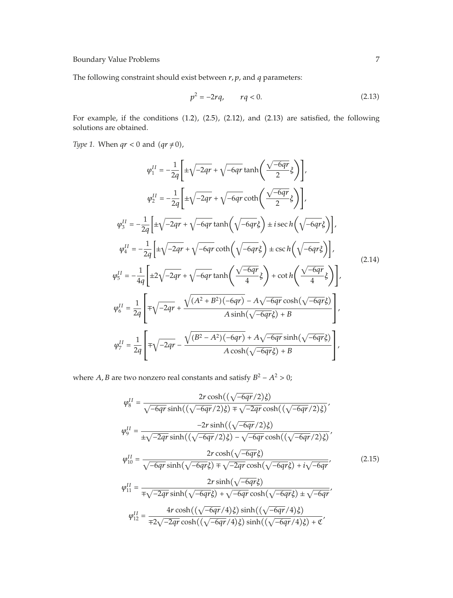The following constraint should exist between *r, p*, and *q* parameters:

$$
p^2 = -2rq, \qquad rq < 0. \tag{2.13}
$$

For example, if the conditions  $(1.2)$ ,  $(2.5)$ ,  $(2.12)$ , and  $(2.13)$  are satisfied, the following solutions are obtained.

*Type 1.* When  $qr < 0$  and  $(qr \neq 0)$ ,

$$
\varphi_1^{II} = -\frac{1}{2q} \left[ \pm \sqrt{-2qr} + \sqrt{-6qr} \tanh\left(\frac{\sqrt{-6qr}}{2}\xi\right) \right],
$$
  
\n
$$
\varphi_2^{II} = -\frac{1}{2q} \left[ \pm \sqrt{-2qr} + \sqrt{-6qr} \coth\left(\frac{\sqrt{-6qr}}{2}\xi\right) \right],
$$
  
\n
$$
\varphi_3^{II} = -\frac{1}{2q} \left[ \pm \sqrt{-2qr} + \sqrt{-6qr} \tanh\left(\sqrt{-6qr}\xi\right) \pm i \sec h\left(\sqrt{-6qr}\xi\right) \right],
$$
  
\n
$$
\varphi_4^{II} = -\frac{1}{2q} \left[ \pm \sqrt{-2qr} + \sqrt{-6qr} \coth\left(\sqrt{-6qr}\xi\right) \pm \csc h\left(\sqrt{-6qr}\xi\right) \right],
$$
  
\n
$$
\varphi_5^{II} = -\frac{1}{4q} \left[ \pm 2\sqrt{-2qr} + \sqrt{-6qr} \tanh\left(\frac{\sqrt{-6qr}}{4}\xi\right) + \cot h\left(\frac{\sqrt{-6qr}}{4}\xi\right) \right],
$$
  
\n
$$
\varphi_6^{II} = \frac{1}{2q} \left[ \mp \sqrt{-2qr} + \frac{\sqrt{(A^2 + B^2)(-6qr)} - A\sqrt{-6qr} \cosh(\sqrt{-6qr}\xi)}{A \sinh(\sqrt{-6qr}\xi) + B} \right],
$$
  
\n
$$
\varphi_7^{II} = \frac{1}{2q} \left[ \mp \sqrt{-2qr} - \frac{\sqrt{(B^2 - A^2)(-6qr)} + A\sqrt{-6qr} \sinh(\sqrt{-6qr}\xi)}{A \cosh(\sqrt{-6qr}\xi) + B} \right],
$$
  
\n(2.14)

where *A*, *B* are two nonzero real constants and satisfy  $B^2 - A^2 > 0$ ;

$$
\varphi_8^{II} = \frac{2r \cosh((\sqrt{-6qr}/2)\xi)}{\sqrt{-6qr} \sinh((\sqrt{-6qr}/2)\xi) + \sqrt{-2qr} \cosh((\sqrt{-6qr}/2)\xi)},
$$
\n
$$
\varphi_9^{II} = \frac{-2r \sinh((\sqrt{-6qr}/2)\xi)}{\pm \sqrt{-2qr} \sinh((\sqrt{-6qr}/2)\xi) - \sqrt{-6qr} \cosh((\sqrt{-6qr}/2)\xi)},
$$
\n
$$
\varphi_{10}^{II} = \frac{2r \cosh(\sqrt{-6qr}\xi)}{\sqrt{-6qr} \sinh(\sqrt{-6qr}\xi) + \sqrt{-2qr} \cosh(\sqrt{-6qr}\xi) + i\sqrt{-6qr}},
$$
\n
$$
\varphi_{11}^{II} = \frac{2r \sinh(\sqrt{-6qr}\xi)}{\mp \sqrt{-2qr} \sinh(\sqrt{-6qr}\xi) + \sqrt{-6qr} \cosh(\sqrt{-6qr}\xi) \pm \sqrt{-6qr}},
$$
\n
$$
\varphi_{12}^{II} = \frac{4r \cosh((\sqrt{-6qr}/4)\xi) \sinh((\sqrt{-6qr}/4)\xi)}{\mp 2\sqrt{-2qr} \cosh((\sqrt{-6qr}/4)\xi) \sinh((\sqrt{-6qr}/4)\xi) + \mathfrak{C}},
$$
\n(2.15)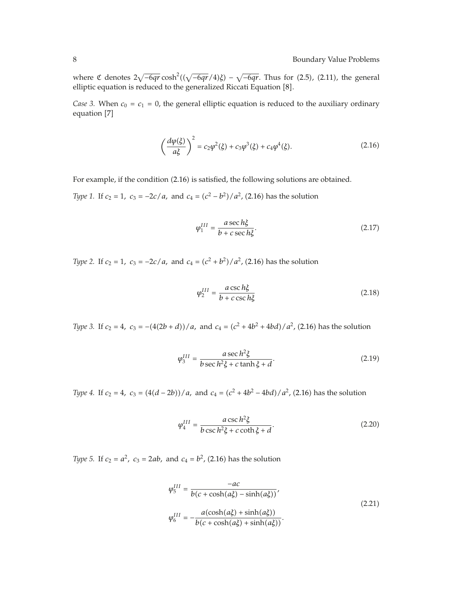where  $\mathfrak{C}$  denotes  $2\sqrt{-6qr}\cosh^2((\sqrt{-6qr}/4)\xi) - \sqrt{-6qr}$ . Thus for (2.5), (2.11), the general elliptic equation is reduced to the generalized Riccati Equation [8].

*Case 3.* When  $c_0 = c_1 = 0$ , the general elliptic equation is reduced to the auxiliary ordinary equation [7]

$$
\left(\frac{d\varphi(\xi)}{a\xi}\right)^2 = c_2\varphi^2(\xi) + c_3\varphi^3(\xi) + c_4\varphi^4(\xi). \tag{2.16}
$$

For example, if the condition (2.16) is satisfied, the following solutions are obtained.

*Type 1.* If  $c_2 = 1$ ,  $c_3 = -2c/a$ , and  $c_4 = (c^2 - b^2)/a^2$ , (2.16) has the solution

$$
\varphi_1^{III} = \frac{a \sec h \xi}{b + c \sec h \xi}.
$$
\n(2.17)

*Type 2.* If  $c_2 = 1$ ,  $c_3 = -2c/a$ , and  $c_4 = (c^2 + b^2)/a^2$ , (2.16) has the solution

$$
\varphi_2^{III} = \frac{a \csc h\xi}{b + c \csc h\xi} \tag{2.18}
$$

*Type 3.* If  $c_2 = 4$ *,*  $c_3 = -(4(2b+d))/a$ *,* and  $c_4 = (c^2 + 4b^2 + 4bd)/a^2$ *,* (2.16) has the solution

$$
\varphi_3^{III} = \frac{a \sec h^2 \xi}{b \sec h^2 \xi + c \tanh \xi + d}.
$$
\n(2.19)

*Type 4.* If  $c_2 = 4$ *,*  $c_3 = (4(d - 2b))/a$ *,* and  $c_4 = (c^2 + 4b^2 - 4bd)/a^2$ *,* (2.16) has the solution

$$
\varphi_4^{III} = \frac{a \csc h^2 \xi}{b \csc h^2 \xi + c \coth \xi + d}.
$$
\n(2.20)

*Type 5.* If  $c_2 = a^2$ ,  $c_3 = 2ab$ , and  $c_4 = b^2$ , (2.16) has the solution

$$
\varphi_5^{III} = \frac{-ac}{b(c + \cosh(a\xi) - \sinh(a\xi))},
$$
\n
$$
\varphi_6^{III} = -\frac{a(\cosh(a\xi) + \sinh(a\xi))}{b(c + \cosh(a\xi) + \sinh(a\xi))}.
$$
\n(2.21)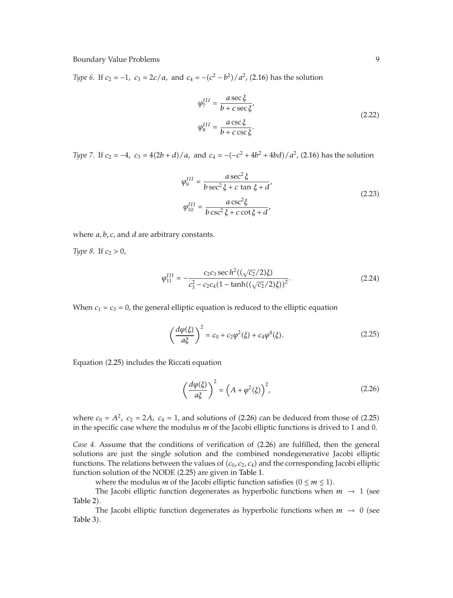*Type 6.* If  $c_2 = -1$ ,  $c_3 = 2c/a$ , and  $c_4 = -(c^2 - b^2)/a^2$ , (2.16) has the solution

$$
\varphi_7^{III} = \frac{a \sec \xi}{b + c \sec \xi},
$$
  

$$
\varphi_8^{III} = \frac{a \csc \xi}{b + c \csc \xi}.
$$
 (2.22)

*Type 7.* If  $c_2 = -4$ ,  $c_3 = 4(2b + d)/a$ , and  $c_4 = -(-c^2 + 4b^2 + 4bd)/a^2$ , (2.16) has the solution

$$
\varphi_9^{III} = \frac{a \sec^2 \xi}{b \sec^2 \xi + c \tan \xi + d'}
$$
\n
$$
\varphi_{10}^{III} = \frac{a \csc^2 \xi}{b \csc^2 \xi + c \cot \xi + d'}
$$
\n(2.23)

where *a, b, c*, and *d* are arbitrary constants.

*Type 8.* If  $c_2 > 0$ ,

$$
\varphi_{11}^{III} = -\frac{c_2 c_3 \sec h^2 ((\sqrt{c_2}/2)\xi)}{c_3^2 - c_2 c_4 (1 - \tanh((\sqrt{c_2}/2)\xi))^2}.
$$
\n(2.24)

When  $c_1 = c_3 = 0$ , the general elliptic equation is reduced to the elliptic equation

$$
\left(\frac{d\varphi(\xi)}{a\xi}\right)^2 = c_0 + c_2\varphi^2(\xi) + c_4\varphi^4(\xi). \tag{2.25}
$$

Equation (2.25) includes the Riccati equation

$$
\left(\frac{d\varphi(\xi)}{a\xi}\right)^2 = \left(A + \varphi^2(\xi)\right)^2,\tag{2.26}
$$

where  $c_0 = A^2$ ,  $c_2 = 2A$ ,  $c_4 = 1$ , and solutions of  $(2.26)$  can be deduced from those of  $(2.25)$ in the specific case where the modulus *m* of the Jacobi elliptic functions is drived to 1 and 0.

*Case 4.* Assume that the conditions of verification of  $(2.26)$  are fulfilled, then the general solutions are just the single solution and the combined nondegenerative Jacobi elliptic functions. The relations between the values of ( $c_0$ ,  $c_2$ ,  $c_4$ ) and the corresponding Jacobi elliptic function solution of the NODE (2.25) are given in Table 1.

where the modulus *m* of the Jacobi elliptic function satisfies  $(0 \le m \le 1)$ .

The Jacobi elliptic function degenerates as hyperbolic functions when  $m \rightarrow 1$  (see Table 2).

The Jacobi elliptic function degenerates as hyperbolic functions when  $m \to 0$  (see Table 3).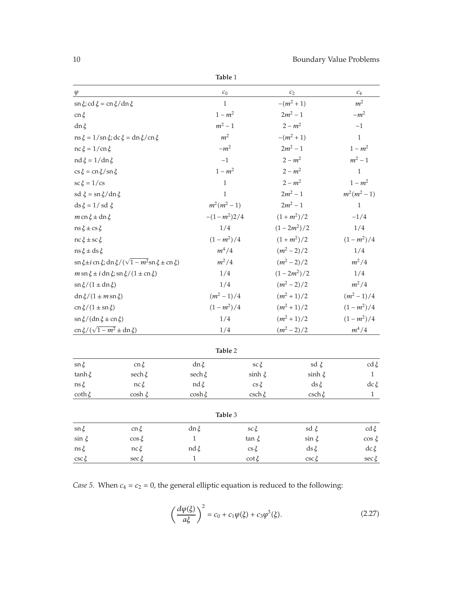**Table** 1

| $\varphi$                                                                        |                         | $c_0$                           |                            | $c_2$                  | $\mathcal{C}_4$         |
|----------------------------------------------------------------------------------|-------------------------|---------------------------------|----------------------------|------------------------|-------------------------|
| $\sin \xi$ ; cd $\xi = \cos \xi / \sin \xi$                                      |                         |                                 | $-(m^2+1)$<br>$\mathbf{1}$ |                        | m <sup>2</sup>          |
| $cn \xi$                                                                         |                         | $1 - m^2$                       |                            | $2m^2 - 1$             | $-m^2$                  |
| $dn\xi$                                                                          |                         | $m^2-1$                         |                            | $2 - m^2$              | $-1$                    |
| $\text{ns } \xi = 1/\text{sn } \xi$ ; dc $\xi = \text{dn } \xi / \text{cn } \xi$ |                         | m <sup>2</sup>                  |                            | $-(m^2+1)$             | $\mathbf{1}$            |
| $nc \xi = 1/cn \xi$                                                              |                         | $-m^2$                          |                            | $2m^2 - 1$             | $1 - m^2$               |
| $nd \xi = 1/dn \xi$                                                              |                         | $-1$                            |                            | $2 - m^2$              | $m^2 - 1$               |
| $\cos \xi = \cos \xi / \sin \xi$                                                 |                         | $1 - m^2$                       |                            | $2 - m^2$              | $\,1\,$                 |
| $\operatorname{sc} \xi = 1/\operatorname{cs}$                                    |                         | $\,1$                           |                            | $2 - m^2$              | $1 - m^2$               |
| sd $\xi = \frac{\xi}{\tan \xi}$ dn $\xi$                                         |                         | $\mathbf{1}$                    |                            | $2m^2 - 1$             | $m^2(m^2-1)$            |
| $ds \xi = 1/sd \xi$                                                              |                         | $m^2(m^2-1)$                    |                            | $2m^2 - 1$             | $\mathbf{1}$            |
| $m$ cn $\xi \pm dn \xi$                                                          |                         | $-(1-m^2)2/4$                   |                            | $(1+m^2)/2$            | $-1/4$                  |
| $\text{ns} \xi \pm \text{cs} \xi$                                                |                         | 1/4                             |                            | $(1-2m^2)/2$           | 1/4                     |
| $nc \xi \pm sc \xi$                                                              |                         | $(1 - m^2)/4$                   |                            | $(1+m^2)/2$            | $(1 - m^2)/4$           |
| $ns\xi \pm ds\xi$                                                                |                         | $m^4/4$                         |                            | $(m^2-2)/2$            | 1/4                     |
| $\sin \xi \pm i$ cn $\xi$ ; dn $\xi/(\sqrt{1-m^2}\sin \xi \pm \text{cn } \xi)$   |                         | $m^2/4$                         |                            | $(m^2-2)/2$            | $m^2/4$                 |
| $m \sin \xi \pm i \, \text{dn} \xi$ ; sn $\xi / (1 \pm \text{cn} \xi)$           |                         | 1/4                             |                            | $(1-2m^2)/2$           | 1/4                     |
| $\sin \xi/(1 \pm \mathrm{dn}\,\xi)$                                              |                         | 1/4                             |                            | $(m^2-2)/2$            | $m^2/4$                 |
| dn $\xi/(1 \pm m \sin \xi)$                                                      |                         | $(m^2-1)/4$                     |                            | $(m^2+1)/2$            | $(m^2-1)/4$             |
| $cn \xi/(1 \pm sn \xi)$                                                          |                         | $(1 - m^2)/4$                   |                            | $(m^2+1)/2$            | $(1 - m^2)/4$           |
| $\sin \xi / (\text{dn} \xi \pm \text{cn} \xi)$                                   |                         | 1/4                             |                            | $(m^2+1)/2$            | $(1 - m^2)/4$           |
| $cn \xi / (\sqrt{1 - m^2} \pm dn \xi)$                                           |                         | 1/4                             |                            | $(m^2-2)/2$            | $m^4/4$                 |
|                                                                                  |                         |                                 | Table 2                    |                        |                         |
|                                                                                  |                         |                                 |                            |                        |                         |
| $\operatorname{sn} \xi$                                                          | $cn \xi$                | dnξ                             | $\operatorname{sc} \xi$    | sd $\xi$               | $cd\,\xi$               |
| $tanh \xi$                                                                       | sech $\xi$              | sech $\xi$                      | sinh $\xi$                 | sinh $\xi$             | $\mathbf{1}$            |
| $\text{ns} \xi$<br>coth $\xi$                                                    | $nc \xi$<br>$\cosh \xi$ | $\text{nd}\,\xi$<br>$\cosh \xi$ | $\cos \xi$<br>$csch \xi$   | $ds \xi$<br>$csch \xi$ | $dc\xi$<br>$\mathbf{1}$ |
|                                                                                  |                         |                                 |                            |                        |                         |
|                                                                                  |                         |                                 | Table 3                    |                        |                         |
| $\operatorname{sn} \xi$                                                          | $cn \xi$                | $dn \xi$                        | $\operatorname{sc} \xi$    | sd $\xi$               | $cd \xi$                |
| $\sin \xi$                                                                       | $\cos \xi$              | $\,1\,$                         | $tan \xi$                  | $\sin \xi$             | $\cos \xi$              |
| $\text{ns} \, \xi$                                                               | nc ξ                    | $\text{nd}\,\xi$                | $\cos \xi$                 | $ds \xi$               | $dc\xi$                 |
| $\csc \xi$                                                                       | $\sec \xi$              | $\,1\,$                         | $\cot \xi$                 | $\csc \xi$             | $\sec \xi$              |

*Case 5.* When  $c_4 = c_2 = 0$ , the general elliptic equation is reduced to the following:

$$
\left(\frac{d\varphi(\xi)}{a\xi}\right)^2 = c_0 + c_1\varphi(\xi) + c_3\varphi^3(\xi). \tag{2.27}
$$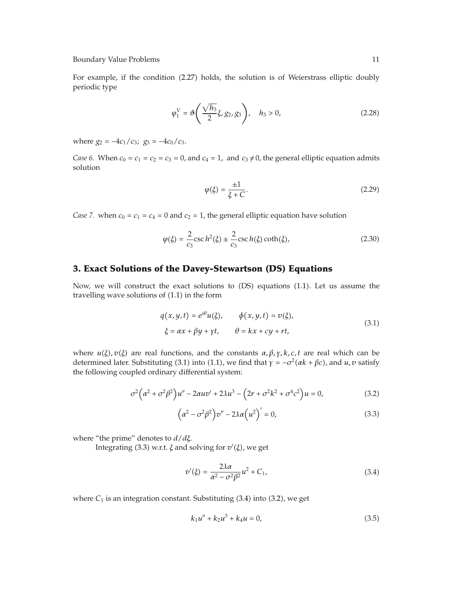For example, if the condition (2.27) holds, the solution is of Weierstrass elliptic doubly periodic type

$$
\varphi_1^V = \vartheta \left( \frac{\sqrt{h_3}}{2} \xi, g_2, g_3 \right), \quad h_3 > 0,
$$
\n(2.28)

where  $g_2 = -4c_1/c_3$ ;  $g_3 = -4c_0/c_3$ .

*Case 6.* When  $c_0 = c_1 = c_2 = c_3 = 0$ , and  $c_4 = 1$ , and  $c_3 \neq 0$ , the general elliptic equation admits solution

$$
\varphi(\xi) = \frac{\pm 1}{\xi + C}.\tag{2.29}
$$

*Case 7.* when  $c_0 = c_1 = c_4 = 0$  and  $c_2 = 1$ , the general elliptic equation have solution

$$
\varphi(\xi) = \frac{2}{c_3} \csc h^2(\xi) \pm \frac{2}{c_3} \csc h(\xi) \coth(\xi), \tag{2.30}
$$

#### **3. Exact Solutions of the Davey-Stewartson (DS) Equations**

Now, we will construct the exact solutions to (DS) equations (1.1). Let us assume the travelling wave solutions of  $(1.1)$  in the form

$$
q(x, y, t) = e^{i\theta}u(\xi), \qquad \phi(x, y, t) = v(\xi),
$$
  
\n
$$
\xi = \alpha x + \beta y + \gamma t, \qquad \theta = kx + cy + rt,
$$
\n(3.1)

where  $u(\xi)$ ,  $v(\xi)$  are real functions, and the constants  $\alpha$ ,  $\beta$ ,  $\gamma$ ,  $k$ ,  $c$ ,  $t$  are real which can be determined later. Substituting (3.1) into (1.1), we find that  $\gamma = -\sigma^2(\alpha k + \beta c)$ , and  $u, v$  satisfy the following coupled ordinary differential system:

$$
\sigma^2 \left( \alpha^2 + \sigma^2 \beta^2 \right) u'' - 2\alpha u v' + 2\lambda u^3 - \left( 2r + \sigma^2 k^2 + \sigma^4 c^2 \right) u = 0, \tag{3.2}
$$

$$
\left(\alpha^2 - \sigma^2 \beta^2\right) v'' - 2\lambda \alpha \left(u^2\right)' = 0,\tag{3.3}
$$

where "the prime" denotes to *d/dξ*.

Integrating (3.3) w.r.t. *ξ* and solving for  $v'(\xi)$ , we get

$$
v'(\xi) = \frac{2\lambda\alpha}{\alpha^2 - \sigma^2\beta^2}u^2 + C_1,\tag{3.4}
$$

where  $C_1$  is an integration constant. Substituting  $(3.4)$  into  $(3.2)$ , we get

$$
k_1 u'' + k_2 u^3 + k_4 u = 0,\t\t(3.5)
$$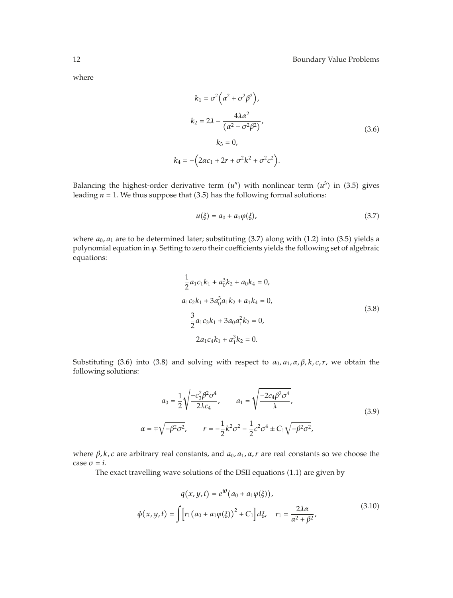where

$$
k_1 = \sigma^2 \left( \alpha^2 + \sigma^2 \beta^2 \right),
$$
  
\n
$$
k_2 = 2\lambda - \frac{4\lambda \alpha^2}{\left( \alpha^2 - \sigma^2 \beta^2 \right)},
$$
  
\n
$$
k_3 = 0,
$$
  
\n
$$
k_4 = -\left( 2\alpha c_1 + 2r + \sigma^2 k^2 + \sigma^2 c^2 \right).
$$
\n(3.6)

Balancing the highest-order derivative term  $(u'')$  with nonlinear term  $(u^3)$  in (3.5) gives leading  $n = 1$ . We thus suppose that  $(3.5)$  has the following formal solutions:

$$
u(\xi) = a_0 + a_1 \varphi(\xi), \tag{3.7}
$$

where  $a_0$ ,  $a_1$  are to be determined later; substituting  $(3.7)$  along with  $(1.2)$  into  $(3.5)$  yields a polynomial equation in *ϕ*. Setting to zero their coefficients yields the following set of algebraic equations:

$$
\frac{1}{2}a_1c_1k_1 + a_0^3k_2 + a_0k_4 = 0,
$$
  
\n
$$
a_1c_2k_1 + 3a_0^3a_1k_2 + a_1k_4 = 0,
$$
  
\n
$$
\frac{3}{2}a_1c_3k_1 + 3a_0a_1^2k_2 = 0,
$$
  
\n
$$
2a_1c_4k_1 + a_1^3k_2 = 0.
$$
\n(3.8)

Substituting (3.6) into (3.8) and solving with respect to  $a_0$ ,  $a_1$ ,  $\alpha$ ,  $\beta$ ,  $k$ ,  $c$ ,  $r$ , we obtain the following solutions:

$$
a_0 = \frac{1}{2} \sqrt{\frac{-c_3^2 \beta^2 \sigma^4}{2\lambda c_4}}, \qquad a_1 = \sqrt{\frac{-2c_4 \beta^2 \sigma^4}{\lambda}},
$$
  
\n
$$
\alpha = \pm \sqrt{-\beta^2 \sigma^2}, \qquad r = -\frac{1}{2} k^2 \sigma^2 - \frac{1}{2} c^2 \sigma^4 \pm C_1 \sqrt{-\beta^2 \sigma^2},
$$
\n(3.9)

where *β, k, c* are arbitrary real constants, and *a*0*, a*1*, α, r* are real constants so we choose the case  $\sigma = i$ .

The exact travelling wave solutions of the DSII equations (1.1) are given by

$$
q(x, y, t) = e^{i\theta} (a_0 + a_1 \varphi(\xi)),
$$
  

$$
\phi(x, y, t) = \int [r_1 (a_0 + a_1 \varphi(\xi))^2 + C_1] d\xi, \quad r_1 = \frac{2\lambda \alpha}{\alpha^2 + \beta^2},
$$
(3.10)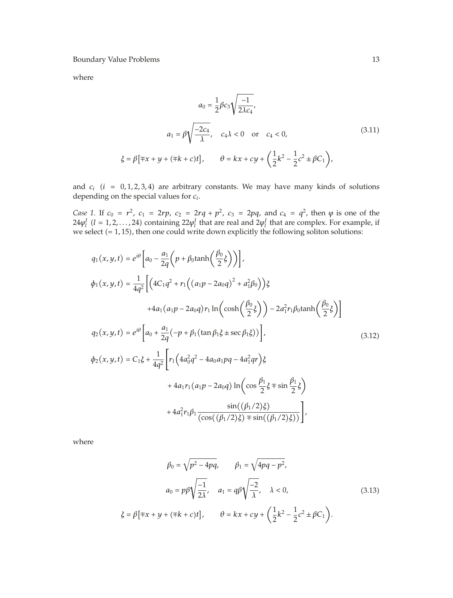where

$$
a_0 = \frac{1}{2}\beta c_3 \sqrt{\frac{-1}{2\lambda c_4}},
$$
  
\n
$$
a_1 = \beta \sqrt{\frac{-2c_4}{\lambda}}, \quad c_4 \lambda < 0 \quad \text{or} \quad c_4 < 0,
$$
  
\n
$$
\xi = \beta [\mp x + y + (\mp k + c)t], \qquad \theta = kx + cy + \left(\frac{1}{2}k^2 - \frac{1}{2}c^2 \pm \beta C_1\right),
$$
\n(3.11)

and  $c_i$  ( $i = 0, 1, 2, 3, 4$ ) are arbitrary constants. We may have many kinds of solutions depending on the special values for *ci.*

*Case 1.* If  $c_0 = r^2$ ,  $c_1 = 2rp$ ,  $c_2 = 2rq + p^2$ ,  $c_3 = 2pq$ , and  $c_4 = q^2$ , then  $\varphi$  is one of the  $24\varphi_l^I$  (*l* = 1,2,...,24) containing  $22\varphi_l^I$  that are real and  $2\varphi_l^I$  that are complex. For example, if we select (= 1, 15), then one could write down explicitly the following soliton solutions:

$$
q_{1}(x, y, t) = e^{i\theta} \left[ a_{0} - \frac{a_{1}}{2q} \left( p + \beta_{0} \tanh\left(\frac{\beta_{0}}{2}\xi\right) \right) \right],
$$
  
\n
$$
\phi_{1}(x, y, t) = \frac{1}{4q^{2}} \left[ \left( 4C_{1}q^{2} + r_{1} \left( (a_{1}p - 2a_{0}q)^{2} + a_{1}^{2}\beta_{0} \right) \right) \xi + 4a_{1}(a_{1}p - 2a_{0}q)r_{1} \ln\left( \cosh\left(\frac{\beta_{0}}{2}\xi\right) \right) - 2a_{1}^{2}r_{1}\beta_{0} \tanh\left(\frac{\beta_{0}}{2}\xi\right) \right]
$$
  
\n
$$
q_{2}(x, y, t) = e^{i\theta} \left[ a_{0} + \frac{a_{1}}{2q} \left( -p + \beta_{1} \left( \tan \beta_{1}\xi \pm \sec \beta_{1}\xi \right) \right) \right],
$$
  
\n
$$
\phi_{2}(x, y, t) = C_{1}\xi + \frac{1}{4q^{2}} \left[ r_{1} \left( 4a_{0}^{2}q^{2} - 4a_{0}a_{1}pq - 4a_{1}^{2}qr \right) \xi + 4a_{1}r_{1}(a_{1}p - 2a_{0}q) \ln\left( \cos \frac{\beta_{1}}{2}\xi \mp \sin \frac{\beta_{1}}{2}\xi \right) + 4a_{1}^{2}r_{1}\beta_{1} \frac{\sin((\beta_{1}/2)\xi)}{(\cos((\beta_{1}/2)\xi) + \sin((\beta_{1}/2)\xi))} \right],
$$
  
\n(3.12)

where

$$
\beta_0 = \sqrt{p^2 - 4pq}, \qquad \beta_1 = \sqrt{4pq - p^2},
$$
  
\n
$$
a_0 = p\beta \sqrt{\frac{-1}{2\lambda}}, \quad a_1 = q\beta \sqrt{\frac{-2}{\lambda}}, \quad \lambda < 0,
$$
  
\n
$$
\xi = \beta [\mp x + y + (\mp k + c)t], \qquad \theta = kx + cy + \left(\frac{1}{2}k^2 - \frac{1}{2}c^2 \pm \beta C_1\right).
$$
\n(3.13)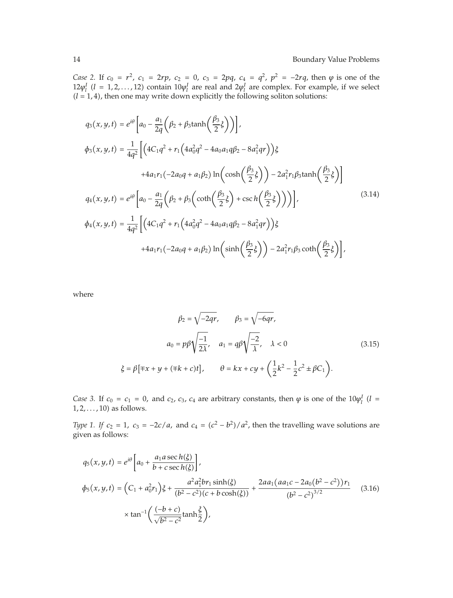*Case* 2. If  $c_0 = r^2$ ,  $c_1 = 2rp$ ,  $c_2 = 0$ ,  $c_3 = 2pq$ ,  $c_4 = q^2$ ,  $p^2 = -2rq$ , then  $\varphi$  is one of the  $12\varphi_l^I$  (*l* = 1, 2, ..., 12) contain  $10\varphi_l^I$  are real and  $2\varphi_l^I$  are complex. For example, if we select  $(l = 1, 4)$ , then one may write down explicitly the following soliton solutions:

$$
q_{3}(x, y, t) = e^{i\theta} \left[ a_{0} - \frac{a_{1}}{2q} \left( \beta_{2} + \beta_{3} \tanh\left(\frac{\beta_{3}}{2}\xi\right) \right) \right],
$$
  
\n
$$
\phi_{3}(x, y, t) = \frac{1}{4q^{2}} \left[ \left( 4C_{1}q^{2} + r_{1} \left( 4a_{0}^{2}q^{2} - 4a_{0}a_{1}q\beta_{2} - 8a_{1}^{2}qr \right) \right) \xi + 4a_{1}r_{1} \left( -2a_{0}q + a_{1}\beta_{2} \right) \ln\left( \cosh\left(\frac{\beta_{3}}{2}\xi\right) \right) - 2a_{1}^{2}r_{1}\beta_{3} \tanh\left(\frac{\beta_{3}}{2}\xi\right) \right]
$$
  
\n
$$
q_{4}(x, y, t) = e^{i\theta} \left[ a_{0} - \frac{a_{1}}{2q} \left( \beta_{2} + \beta_{3} \left( \coth\left(\frac{\beta_{3}}{2}\xi\right) + \csc\left(\frac{\beta_{3}}{2}\xi\right) \right) \right) \right],
$$
  
\n
$$
\phi_{4}(x, y, t) = \frac{1}{4q^{2}} \left[ \left( 4C_{1}q^{2} + r_{1} \left( 4a_{0}^{2}q^{2} - 4a_{0}a_{1}q\beta_{2} - 8a_{1}^{2}qr \right) \right) \xi + 4a_{1}r_{1} \left( -2a_{0}q + a_{1}\beta_{2} \right) \ln\left( \sinh\left(\frac{\beta_{3}}{2}\xi\right) \right) - 2a_{1}^{2}r_{1}\beta_{3} \coth\left(\frac{\beta_{3}}{2}\xi\right) \right],
$$
\n(3.14)

where

$$
\beta_2 = \sqrt{-2qr}, \qquad \beta_3 = \sqrt{-6qr},
$$
  
\n
$$
a_0 = p\beta \sqrt{\frac{-1}{2\lambda}}, \qquad a_1 = q\beta \sqrt{\frac{-2}{\lambda}}, \qquad \lambda < 0
$$
  
\n
$$
\xi = \beta [\mp x + y + (\mp k + c)t], \qquad \theta = kx + cy + \left(\frac{1}{2}k^2 - \frac{1}{2}c^2 \pm \beta C_1\right).
$$
\n(3.15)

*Case* 3. If  $c_0 = c_1 = 0$ , and  $c_2$ ,  $c_3$ ,  $c_4$  are arbitrary constants, then  $\varphi$  is one of the  $10\varphi_l^I$  (*l* = 1*,* 2*,...,* 10 as follows.

*Type 1. If*  $c_2 = 1$ ,  $c_3 = -2c/a$ , and  $c_4 = (c^2 - b^2)/a^2$ , then the travelling wave solutions are given as follows:

$$
q_5(x, y, t) = e^{i\theta} \left[ a_0 + \frac{a_1 a \sec h(\xi)}{b + c \sec h(\xi)} \right],
$$
  
\n
$$
\phi_5(x, y, t) = \left( C_1 + a_0^2 r_1 \right) \xi + \frac{a^2 a_1^2 br_1 \sinh(\xi)}{(b^2 - c^2)(c + b \cosh(\xi))} + \frac{2a a_1 (a a_1 c - 2a_0 (b^2 - c^2)) r_1}{(b^2 - c^2)^{3/2}} \tag{3.16}
$$
  
\n
$$
\times \tan^{-1} \left( \frac{(-b + c)}{\sqrt{b^2 - c^2}} \tanh \frac{\xi}{2} \right),
$$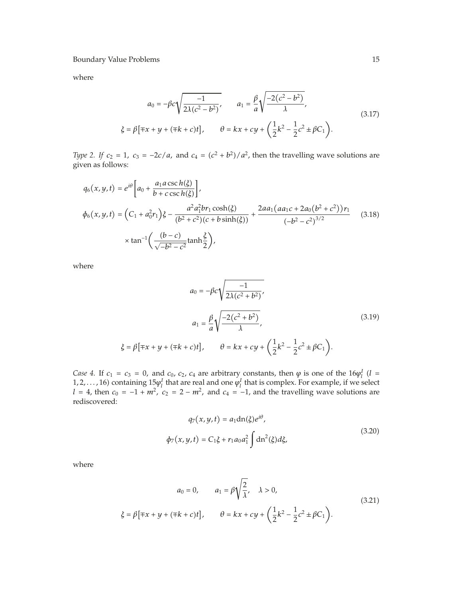where

$$
a_0 = -\beta c \sqrt{\frac{-1}{2\lambda(c^2 - b^2)}}, \qquad a_1 = \frac{\beta}{a} \sqrt{\frac{-2(c^2 - b^2)}{\lambda}},
$$
  

$$
\xi = \beta [\mp x + y + (\mp k + c)t], \qquad \theta = kx + cy + \left(\frac{1}{2}k^2 - \frac{1}{2}c^2 \pm \beta C_1\right).
$$
 (3.17)

*Type 2. If*  $c_2 = 1$ ,  $c_3 = -2c/a$ , and  $c_4 = (c^2 + b^2)/a^2$ , then the travelling wave solutions are given as follows:

$$
q_6(x, y, t) = e^{i\theta} \left[ a_0 + \frac{a_1 a \csc h(\xi)}{b + c \csc h(\xi)} \right],
$$
  
\n
$$
\phi_6(x, y, t) = \left( C_1 + a_0^2 r_1 \right) \xi - \frac{a^2 a_1^2 b r_1 \cosh(\xi)}{(b^2 + c^2)(c + b \sinh(\xi))} + \frac{2a a_1 (a a_1 c + 2 a_0 (b^2 + c^2)) r_1}{(-b^2 - c^2)^{3/2}} \tag{3.18}
$$
  
\n
$$
\times \tan^{-1} \left( \frac{(b - c)}{\sqrt{-b^2 - c^2}} \tanh \frac{\xi}{2} \right),
$$

where

$$
a_0 = -\beta c \sqrt{\frac{-1}{2\lambda(c^2 + b^2)}},
$$
  
\n
$$
a_1 = \frac{\beta}{a} \sqrt{\frac{-2(c^2 + b^2)}{\lambda}},
$$
  
\n
$$
\xi = \beta [\mp x + y + (\mp k + c)t], \qquad \theta = kx + cy + (\frac{1}{2}k^2 - \frac{1}{2}c^2 \pm \beta C_1).
$$
\n(3.19)

*Case 4.* If  $c_1 = c_3 = 0$ , and  $c_0$ ,  $c_2$ ,  $c_4$  are arbitrary constants, then  $\varphi$  is one of the  $16\varphi_l^I$  (*l* = 1, 2, ..., 16) containing  $15\varphi_l^I$  that are real and one  $\varphi_l^I$  that is complex. For example, if we select *l* = 4, then  $c_0 = -1 + m^2$ ,  $c_2 = 2 - m^2$ , and  $c_4 = -1$ , and the travelling wave solutions are rediscovered:

$$
q_7(x, y, t) = a_1 \text{dn}(\xi) e^{i\theta},
$$
  

$$
\phi_7(x, y, t) = C_1 \xi + r_1 a_0 a_1^2 \int \text{dn}^2(\xi) d\xi,
$$
\n(3.20)

where

$$
a_0 = 0, \t a_1 = \beta \sqrt{\frac{2}{\lambda}}, \t \lambda > 0,
$$
  
\n
$$
\xi = \beta [\mp x + y + (\mp k + c)t], \t \theta = kx + cy + \left(\frac{1}{2}k^2 - \frac{1}{2}c^2 \pm \beta C_1\right).
$$
\n(3.21)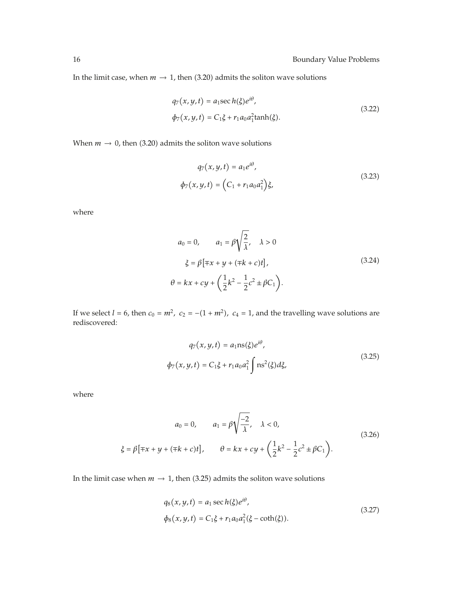In the limit case, when  $m \to 1$ , then  $(3.20)$  admits the soliton wave solutions

$$
q_7(x, y, t) = a_1 \sec h(\xi) e^{i\theta},
$$
  
\n
$$
\phi_7(x, y, t) = C_1 \xi + r_1 a_0 a_1^2 \tanh(\xi).
$$
\n(3.22)

When  $m \to 0$ , then (3.20) admits the soliton wave solutions

$$
q_7(x, y, t) = a_1 e^{i\theta},
$$
  
\n
$$
\phi_7(x, y, t) = (C_1 + r_1 a_0 a_1^2) \xi,
$$
\n(3.23)

where

$$
a_0 = 0, \t a_1 = \beta \sqrt{\frac{2}{\lambda}}, \t \lambda > 0
$$
  

$$
\xi = \beta [\mp x + y + (\mp k + c)t],
$$
  

$$
\theta = kx + cy + \left(\frac{1}{2}k^2 - \frac{1}{2}c^2 \pm \beta C_1\right).
$$
 (3.24)

If we select  $l = 6$ , then  $c_0 = m^2$ ,  $c_2 = -(1 + m^2)$ ,  $c_4 = 1$ , and the travelling wave solutions are rediscovered:

$$
q_7(x, y, t) = a_1 \text{ns}(\xi) e^{i\theta},
$$
  

$$
\phi_7(x, y, t) = C_1 \xi + r_1 a_0 a_1^2 \int \text{ns}^2(\xi) d\xi,
$$
 (3.25)

where

$$
a_0 = 0, \t a_1 = \beta \sqrt{\frac{-2}{\lambda}}, \t \lambda < 0,
$$
  
\n
$$
\xi = \beta [\mp x + y + (\mp k + c)t], \t \theta = kx + cy + \left(\frac{1}{2}k^2 - \frac{1}{2}c^2 \pm \beta C_1\right).
$$
\n(3.26)

In the limit case when  $m \to 1$ , then (3.25) admits the soliton wave solutions

$$
q_8(x, y, t) = a_1 \sec h(\xi) e^{i\theta},
$$
  
\n
$$
\phi_8(x, y, t) = C_1 \xi + r_1 a_0 a_1^2 (\xi - \coth(\xi)).
$$
\n(3.27)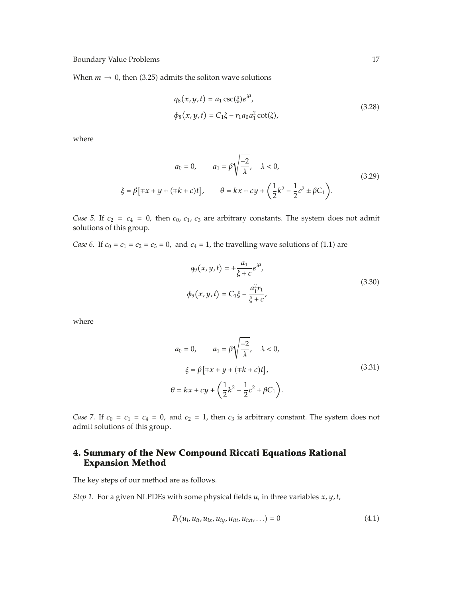When  $m \to 0$ , then (3.25) admits the soliton wave solutions

$$
q_8(x, y, t) = a_1 \csc(\xi) e^{i\theta},
$$
  
\n
$$
\phi_8(x, y, t) = C_1 \xi - r_1 a_0 a_1^2 \cot(\xi),
$$
\n(3.28)

where

$$
a_0 = 0, \t a_1 = \beta \sqrt{\frac{-2}{\lambda}}, \t \lambda < 0,
$$
  
\n
$$
\xi = \beta [\mp x + y + (\mp k + c)t], \t \theta = kx + cy + \left(\frac{1}{2}k^2 - \frac{1}{2}c^2 \pm \beta C_1\right).
$$
\n(3.29)

*Case 5.* If  $c_2 = c_4 = 0$ , then  $c_0$ ,  $c_1$ ,  $c_3$  are arbitrary constants. The system does not admit solutions of this group.

*Case 6.* If  $c_0 = c_1 = c_2 = c_3 = 0$ , and  $c_4 = 1$ , the travelling wave solutions of (1.1) are

$$
q_9(x, y, t) = \pm \frac{a_1}{\xi + c} e^{i\theta},
$$
  
\n
$$
\phi_9(x, y, t) = C_1 \xi - \frac{a_1^2 r_1}{\xi + c},
$$
\n(3.30)

where

$$
a_0 = 0, \t a_1 = \beta \sqrt{\frac{-2}{\lambda}}, \t \lambda < 0,
$$
  

$$
\xi = \beta [\mp x + y + (\mp k + c)t],
$$
  

$$
\theta = kx + cy + \left(\frac{1}{2}k^2 - \frac{1}{2}c^2 \pm \beta C_1\right).
$$
 (3.31)

*Case 7.* If  $c_0 = c_1 = c_4 = 0$ , and  $c_2 = 1$ , then  $c_3$  is arbitrary constant. The system does not admit solutions of this group.

## **4. Summary of the New Compound Riccati Equations Rational Expansion Method**

The key steps of our method are as follows.

*Step 1.* For a given NLPDEs with some physical fields  $u_i$  in three variables  $x, y, t$ ,

$$
P_i(u_i, u_{it}, u_{ix}, u_{iy}, u_{itt}, u_{ixt}, \ldots) = 0
$$
\n(4.1)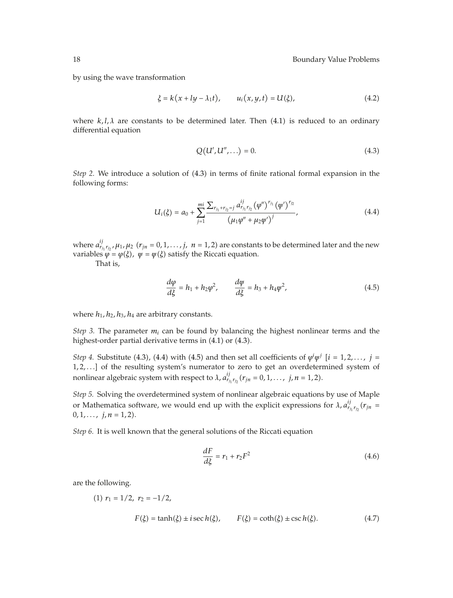by using the wave transformation

$$
\xi = k(x + ly - \lambda_1 t),
$$
  $u_i(x, y, t) = U(\xi),$  (4.2)

where  $k, l, \lambda$  are constants to be determined later. Then  $(4.1)$  is reduced to an ordinary differential equation

$$
Q(U', U'', \ldots) = 0.
$$
 (4.3)

*Step 2.* We introduce a solution of (4.3) in terms of finite rational formal expansion in the following forms:

$$
U_i(\xi) = a_0 + \sum_{j=1}^{mi} \frac{\sum_{r_{j_1} + r_{j_2} = j} a_{r_{j_1} r_{j_2}}^{ij} (\varphi'')^{r_{j_1}} (\varphi')^{r_{j_2}}}{(\mu_1 \varphi'' + \mu_2 \varphi')^j},
$$
(4.4)

where  $a_{r_{j_1}r_{j_2}}^{ij}$ ,  $\mu_1$ ,  $\mu_2$  ( $r_{jn} = 0,1,...,j$ ,  $n = 1,2$ ) are constants to be determined later and the new *variables*  $\varphi = \varphi(\xi)$ *,*  $\psi = \psi(\xi)$  *satisfy the Riccati equation.* 

That is,

$$
\frac{d\varphi}{d\xi} = h_1 + h_2\varphi^2, \qquad \frac{d\varphi}{d\xi} = h_3 + h_4\varphi^2,
$$
\n(4.5)

where  $h_1$ ,  $h_2$ ,  $h_3$ ,  $h_4$  are arbitrary constants.

*Step 3.* The parameter  $m_i$  can be found by balancing the highest nonlinear terms and the highest-order partial derivative terms in  $(4.1)$  or  $(4.3)$ .

*Step 4.* Substitute (4.3), (4.4) with (4.5) and then set all coefficients of  $\varphi^{i}\psi^{j}$  [*i* = 1,2,..., *j* = 1,2,...] of the resulting system's numerator to zero to get an overdetermined system of nonlinear algebraic system with respect to  $\lambda$ ,  $a_{r_{j_1}r_{j_2}}^{ij}(r_{j_1} = 0, 1, ..., j, n = 1, 2)$ .

*Step 5.* Solving the overdetermined system of nonlinear algebraic equations by use of Maple or Mathematica software, we would end up with the explicit expressions for  $\lambda$ ,  $a_{r_{i_1}r_{i_2}}^{ij}(r_{j_1} =$  $0, 1, \ldots, j, n = 1, 2$ .

*Step 6.* It is well known that the general solutions of the Riccati equation

$$
\frac{dF}{d\xi} = r_1 + r_2 F^2 \tag{4.6}
$$

are the following.

(1) 
$$
r_1 = 1/2
$$
,  $r_2 = -1/2$ ,  
 $F(\xi) = \tanh(\xi) \pm i \sec h(\xi)$ ,  $F(\xi) = \coth(\xi) \pm \csc h(\xi)$ . (4.7)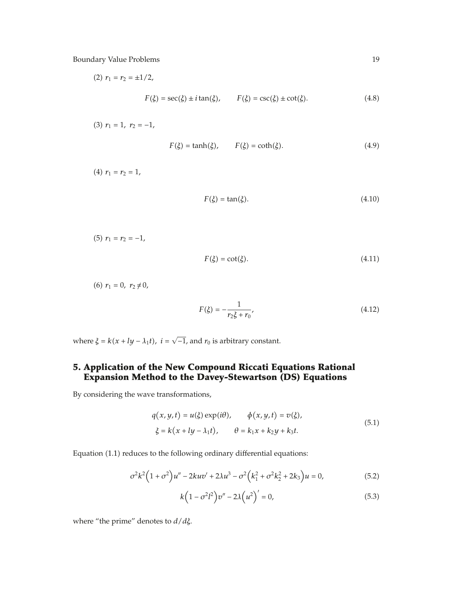(2) 
$$
r_1 = r_2 = \pm 1/2,
$$
  

$$
F(\xi) = \sec(\xi) \pm i \tan(\xi), \qquad F(\xi) = \csc(\xi) \pm \cot(\xi).
$$
 (4.8)

 $(3)$   $r_1 = 1$ ,  $r_2 = -1$ ,

$$
F(\xi) = \tanh(\xi), \qquad F(\xi) = \coth(\xi). \tag{4.9}
$$

 $(r_1 = r_2 = 1,$ 

$$
F(\xi) = \tan(\xi). \tag{4.10}
$$

(5) 
$$
r_1 = r_2 = -1,
$$

 $F(\xi) = \cot(\xi)$ *ξ.* - $(4.11)$ 

 $(r_1 = 0, r_2 \neq 0)$ 

$$
F(\xi) = -\frac{1}{r_2 \xi + r_0},\tag{4.12}
$$

where  $\xi = k(x + ly - \lambda_1 t)$ ,  $i = \sqrt{-1}$ , and  $r_0$  is arbitrary constant.

## **5. Application of the New Compound Riccati Equations Rational Expansion Method to the Davey-Stewartson (DS) Equations**

By considering the wave transformations,

$$
q(x, y, t) = u(\xi) \exp(i\theta), \qquad \phi(x, y, t) = v(\xi),
$$
  

$$
\xi = k(x + ly - \lambda_1 t), \qquad \theta = k_1 x + k_2 y + k_3 t.
$$
 (5.1)

Equation (1.1) reduces to the following ordinary differential equations:

$$
\sigma^2 k^2 \left(1 + \sigma^2\right) u'' - 2kuv' + 2\lambda u^3 - \sigma^2 \left(k_1^2 + \sigma^2 k_2^2 + 2k_3\right) u = 0,\tag{5.2}
$$

$$
k\left(1 - \sigma^2 l^2\right) v'' - 2\lambda \left(u^2\right)' = 0,\tag{5.3}
$$

where "the prime" denotes to *d/dξ*.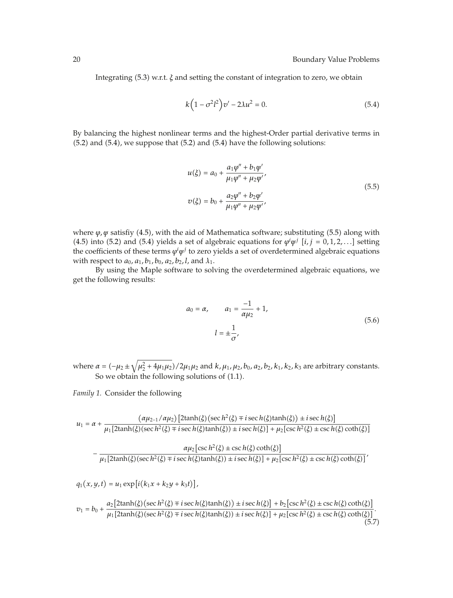Integrating (5.3) w.r.t. *ξ* and setting the constant of integration to zero, we obtain

$$
k\left(1 - \sigma^2 l^2\right) v' - 2\lambda u^2 = 0.
$$
 (5.4)

By balancing the highest nonlinear terms and the highest-Order partial derivative terms in  $(5.2)$  and  $(5.4)$ , we suppose that  $(5.2)$  and  $(5.4)$  have the following solutions:

$$
u(\xi) = a_0 + \frac{a_1 \varphi'' + b_1 \varphi'}{\mu_1 \varphi'' + \mu_2 \varphi'}
$$
  
\n
$$
v(\xi) = b_0 + \frac{a_2 \varphi'' + b_2 \varphi'}{\mu_1 \varphi'' + \mu_2 \varphi'}
$$
\n(5.5)

where  $\varphi$ , *ψ* satisfiy (4.5), with the aid of Mathematica software; substituting (5.5) along with (4.5) into (5.2) and (5.4) yields a set of algebraic equations for  $\varphi^i \varphi^j$  [*i*, *j* = 0,1,2,...] setting the coefficients of these terms *ϕi ψ<sup>j</sup>* to zero yields a set of overdetermined algebraic equations with respect to  $a_0$ ,  $a_1$ ,  $b_1$ ,  $b_0$ ,  $a_2$ ,  $b_2$ ,  $l$ , and  $\lambda_1$ .

By using the Maple software to solving the overdetermined algebraic equations, we get the following results:

$$
a_0 = \alpha, \qquad a_1 = \frac{-1}{\alpha \mu_2} + 1,
$$
  

$$
l = \pm \frac{1}{\sigma},
$$
 (5.6)

 $w$ here *α* = (−μ<sub>2</sub> ±  $\sqrt{\mu_2^2 + 4\mu_1\mu_2}$ )/2μ<sub>1</sub>μ<sub>2</sub> and *k*, μ<sub>1</sub>, μ<sub>2</sub>, b<sub>0</sub>, a<sub>2</sub>, b<sub>2</sub>, k<sub>1</sub>, k<sub>2</sub>, k<sub>3</sub> are arbitrary constants. So we obtain the following solutions of  $(1.1)$ .

*Family 1.* Consider the following

 $\overline{ }$ 

$$
u_1 = \alpha + \frac{(\alpha \mu_{2-1}/\alpha \mu_2) \left[ 2 \tanh(\xi) \left( \sec h^2(\xi) \mp i \sec h(\xi) \tanh(\xi) \right) \pm i \sec h(\xi) \right]}{\mu_1 \left[ 2 \tanh(\xi) \left( \sec h^2(\xi) \mp i \sec h(\xi) \tanh(\xi) \right) \pm i \sec h(\xi) \right] + \mu_2 \left[ \csc h^2(\xi) \pm \csc h(\xi) \coth(\xi) \right]}
$$

$$
-\frac{\alpha\mu_2\left[\csc h^2(\xi) \pm \csc h(\xi)\coth(\xi)\right]}{\mu_1\left[2\tanh(\xi)(\sec h^2(\xi) \mp i\sec h(\xi)\tanh(\xi)) \pm i\sec h(\xi)\right] + \mu_2\left[\csc h^2(\xi) \pm \csc h(\xi)\coth(\xi)\right]'}
$$

$$
q_1(x, y, t) = u_1 \exp[i(k_1x + k_2y + k_3t)],
$$
  
\n
$$
v_1 = b_0 + \frac{a_2 [2\tanh(\xi)(\sec h^2(\xi) \mp i \sec h(\xi)\tanh(\xi)) \pm i \sec h(\xi)] + b_2 [\csc h^2(\xi) \pm \csc h(\xi) \coth(\xi)]}{\mu_1 [2\tanh(\xi)(\sec h^2(\xi) \mp i \sec h(\xi)\tanh(\xi)) \pm i \sec h(\xi)] + \mu_2 [\csc h^2(\xi) \pm \csc h(\xi) \coth(\xi)]}.
$$
\n(5.7)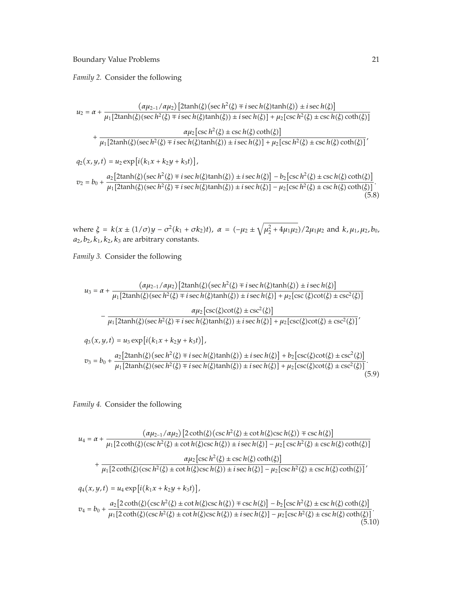*Family 2.* Consider the following

$$
u_2 = \alpha + \frac{(\alpha\mu_{2-1}/\alpha\mu_2) \left[2\tanh(\xi)\left(\sec h^2(\xi) \mp i \sec h(\xi)\tanh(\xi)\right) \pm i \sec h(\xi)\right]}{\mu_1 \left[2\tanh(\xi)\left(\sec h^2(\xi) \mp i \sec h(\xi)\tanh(\xi)\right) \pm i \sec h(\xi)\right] + \mu_2 \left[\csc h^2(\xi) \pm \csc h(\xi)\coth(\xi)\right]}
$$

$$
+ \frac{\alpha\mu_2 \left[\csc h^2(\xi) \pm \csc h(\xi)\coth(\xi)\right]}{\mu_1 \left[2\tanh(\xi)\left(\sec h^2(\xi) \mp i \sec h(\xi)\tanh(\xi)\right) \pm i \sec h(\xi)\right] + \mu_2 \left[\csc h^2(\xi) \pm \csc h(\xi)\coth(\xi)\right]},
$$

$$
q_2(x, y, t) = u_2 \exp\left[i\left(k_1x + k_2y + k_3t\right)\right],
$$

$$
v_2 = b_0 + \frac{a_2 \left[2\tanh(\xi)\left(\sec h^2(\xi) \mp i \sec h(\xi)\tanh(\xi)\right) \pm i \sec h(\xi)\right] - b_2 \left[\csc h^2(\xi) \pm \csc h(\xi)\coth(\xi)\right]}{\mu_1 \left[2\tanh(\xi)\left(\sec h^2(\xi) \mp i \sec h(\xi)\tanh(\xi)\right) \pm i \sec h(\xi)\right] - \mu_2 \left[\csc h^2(\xi) \pm \csc h(\xi)\coth(\xi)\right]}.
$$
(5.8)

where  $\xi = k(x \pm (1/\sigma)y - \sigma^2(k_1 + \sigma k_2)t)$ ,  $\alpha = (-\mu_2 \pm \sqrt{\mu_2^2 + 4\mu_1\mu_2})/2\mu_1\mu_2$  and  $k, \mu_1, \mu_2, b_0$ ,  $a_2$ *, b*<sub>2</sub>*, k*<sub>1</sub>*, k*<sub>2</sub>*, k*<sub>3</sub> are arbitrary constants.

*Family 3.* Consider the following

$$
u_3 = \alpha + \frac{(\alpha \mu_{2-1}/\alpha \mu_2) [2\tanh(\xi)(\sec h^2(\xi) \mp i \sec h(\xi)\tanh(\xi)) \pm i \sec h(\xi)]}{\mu_1 [2\tanh(\xi)(\sec h^2(\xi) \mp i \sec h(\xi)\tanh(\xi)) \pm i \sec h(\xi)] + \mu_2 [\csc(\xi)\cot(\xi) \pm \csc^2(\xi)]}
$$

$$
-\frac{\alpha \mu_2 [\csc(\xi)\cot(\xi) \pm \csc^2(\xi)]}{\mu_1 [2\tanh(\xi)(\sec h^2(\xi) \mp i \sec h(\xi)\tanh(\xi)) \pm i \sec h(\xi)] + \mu_2 [\csc(\xi)\cot(\xi) \pm \csc^2(\xi)]'}
$$

$$
q_3(x, y, t) = u_3 \exp[i(k_1x + k_2y + k_3t)],
$$

$$
v_3 = b_0 + \frac{a_2 [2\tanh(\xi)(\sec h^2(\xi) \mp i \sec h(\xi)\tanh(\xi)) \pm i \sec h(\xi)] + b_2 [\csc(\xi)\cot(\xi) \pm \csc^2(\xi)]}{\mu_1 [2\tanh(\xi)(\sec h^2(\xi) \mp i \sec h(\xi)\tanh(\xi)) \pm i \sec h(\xi)] + \mu_2 [\csc(\xi)\cot(\xi) \pm \csc^2(\xi)]}.
$$
(5.9)

*Family 4.* Consider the following

$$
u_4 = \alpha + \frac{(\alpha\mu_{2-1}/\alpha\mu_2) [2 \coth(\xi)(\csc h^2(\xi) \pm \cot h(\xi)\csc h(\xi)) \mp \csc h(\xi)]}{\mu_1 [2 \coth(\xi)(\csc h^2(\xi) \pm \cot h(\xi)\csc h(\xi)) \pm i \sec h(\xi)] - \mu_2 [ \csc h^2(\xi) \pm \csc h(\xi) \coth(\xi) ]}
$$
  
+ 
$$
\frac{\alpha\mu_2 [\csc h^2(\xi) \pm \csc h(\xi)\coth(\xi)]}{\mu_1 [2 \coth(\xi)(\csc h^2(\xi) \pm \cot h(\xi)\csc h(\xi)) \pm i \sec h(\xi)] - \mu_2 [\csc h^2(\xi) \pm \csc h(\xi) \coth(\xi)]'}
$$
  

$$
q_4(x, y, t) = u_4 \exp[i(k_1x + k_2y + k_3t)],
$$

$$
v_4 = b_0 + \frac{a_2 [2 \coth(\xi)(\csc h^2(\xi) \pm \cot h(\xi)\csc h(\xi)) \mp \csc h(\xi)] - b_2 [\csc h^2(\xi) \pm \csc h(\xi) \coth(\xi)]}{\mu_1 [2 \coth(\xi)(\csc h^2(\xi) \pm \cot h(\xi)\csc h(\xi)) \pm i \sec h(\xi)] - \mu_2 [\csc h^2(\xi) \pm \csc h(\xi) \coth(\xi)]}.
$$
(5.10)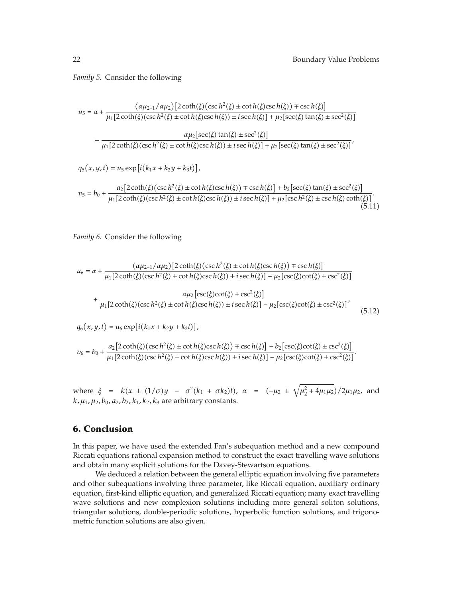*Family 5.* Consider the following

$$
u_5 = \alpha + \frac{(\alpha \mu_{2-1}/\alpha \mu_2) [2 \coth(\xi) (\csc h^2(\xi) \pm \cot h(\xi) \csc h(\xi)) \mp \csc h(\xi)]}{\mu_1 [2 \coth(\xi) (\csc h^2(\xi) \pm \cot h(\xi) \csc h(\xi)) \pm i \sec h(\xi)] + \mu_2 [\sec(\xi) \tan(\xi) \pm \sec^2(\xi)]}
$$

$$
-\frac{\alpha \mu_2 [\sec(\xi) \tan(\xi) \pm \sec^2(\xi)]}{\mu_1 [2 \coth(\xi) (\csc h^2(\xi) \pm \cot h(\xi) \csc h(\xi)) \pm i \sec h(\xi)] + \mu_2 [\sec(\xi) \tan(\xi) \pm \sec^2(\xi)]'}
$$

$$
q_5(x, y, t) = u_5 \exp[i(k_1 x + k_2 y + k_3 t)],
$$

$$
v_5 = b_0 + \frac{a_2 \left[2 \coth(\xi) \left(\csc h^2(\xi) \pm \cot h(\xi) \csc h(\xi)\right) + \csc h(\xi)\right] + b_2 \left[\sec(\xi) \tan(\xi) \pm \sec^2(\xi)\right]}{\mu_1 \left[2 \coth(\xi) \left(\csc h^2(\xi) \pm \cot h(\xi) \csc h(\xi)\right) + i \sec h(\xi)\right] + \mu_2 \left[\csc h^2(\xi) \pm \csc h(\xi) \coth(\xi)\right]}.
$$
\n(5.11)

*Family 6.* Consider the following

$$
u_6 = \alpha + \frac{(\alpha \mu_{2-1}/\alpha \mu_2) \left[2 \coth(\xi)(\csc h^2(\xi) \pm \cot h(\xi)\csc h(\xi)) \mp \csc h(\xi)\right]}{\mu_1 \left[2 \coth(\xi)(\csc h^2(\xi) \pm \cot h(\xi)\csc h(\xi)) \pm i \sec h(\xi)\right] - \mu_2 \left[\csc(\xi)\cot(\xi) \pm \csc^2(\xi)\right]}
$$

$$
+ \frac{\alpha \mu_2 \left[\csc(\xi)\cot(\xi) \pm \csc^2(\xi)\right]}{\mu_1 \left[2 \coth(\xi)(\csc h^2(\xi) \pm \cot h(\xi)\csc h(\xi)) \pm i \sec h(\xi)\right] - \mu_2 \left[\csc(\xi)\cot(\xi) \pm \csc^2(\xi)\right]},
$$
(5.12)

$$
q_6(x, y, t) = u_6 \exp[i(k_1x + k_2y + k_3t)],
$$

$$
v_6 = b_0 + \frac{a_2 [2 \coth(\xi) (\csc h^2(\xi) \pm \cot h(\xi) \csc h(\xi)) \mp \csc h(\xi)] - b_2 [\csc(\xi) \cot(\xi) \pm \csc^2(\xi)]}{\mu_1 [2 \coth(\xi) (\csc h^2(\xi) \pm \cot h(\xi) \csc h(\xi)) \pm i \sec h(\xi)] - \mu_2 [\csc(\xi) \cot(\xi) \pm \csc^2(\xi)]}.
$$

where  $\xi = k(x \pm (1/\sigma)y - \sigma^2(k_1 + \sigma k_2)t)$ ,  $\alpha = (-\mu_2 \pm \sqrt{\mu_2^2 + 4\mu_1\mu_2})/2\mu_1\mu_2$ , and  $k, \mu_1, \mu_2, b_0, a_2, b_2, k_1, k_2, k_3$  are arbitrary constants.

### **6. Conclusion**

In this paper, we have used the extended Fan's subequation method and a new compound Riccati equations rational expansion method to construct the exact travelling wave solutions and obtain many explicit solutions for the Davey-Stewartson equations.

We deduced a relation between the general elliptic equation involving five parameters and other subequations involving three parameter, like Riccati equation, auxiliary ordinary equation, first-kind elliptic equation, and generalized Riccati equation; many exact travelling wave solutions and new complexion solutions including more general soliton solutions, triangular solutions, double-periodic solutions, hyperbolic function solutions, and trigonometric function solutions are also given.